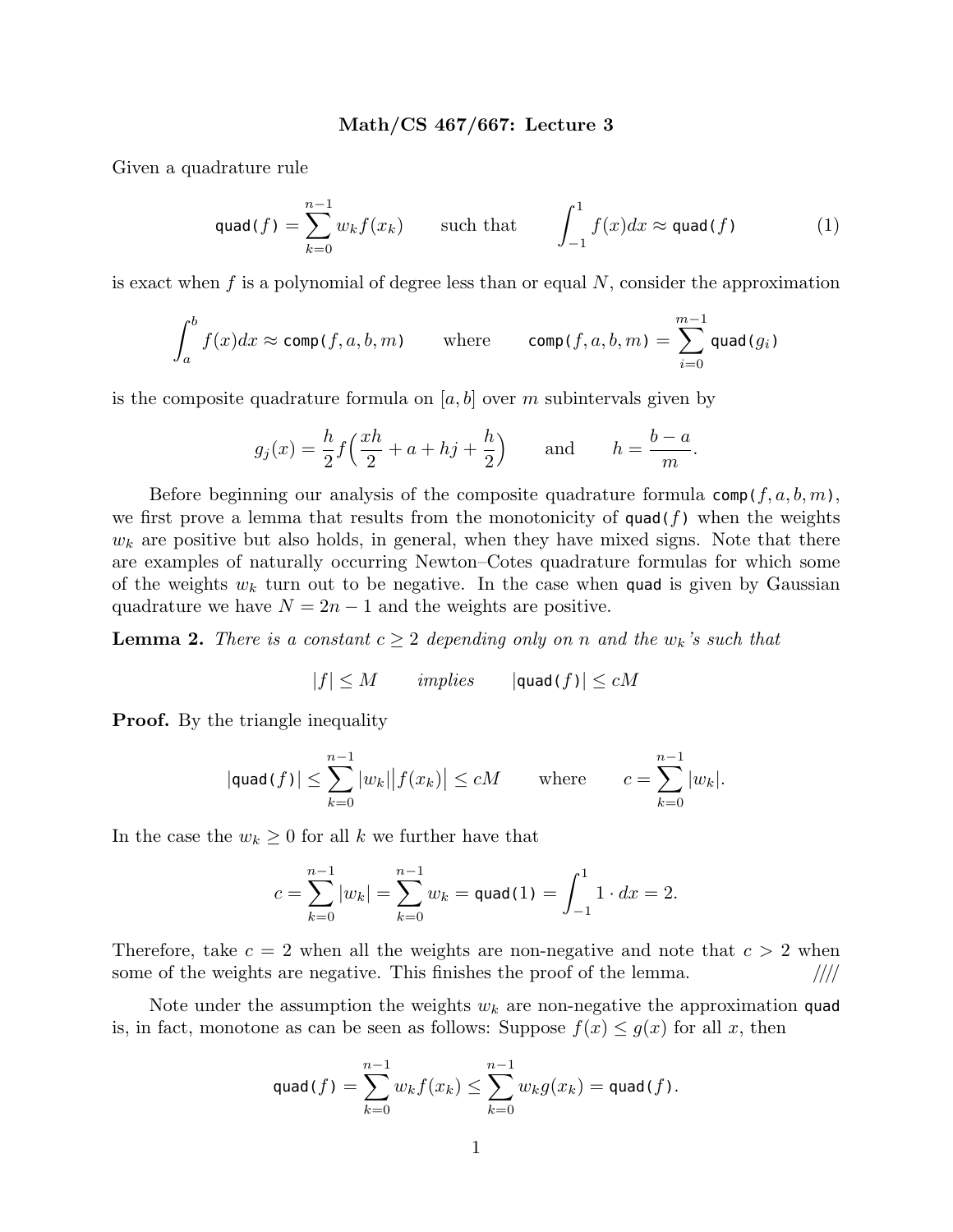## **Math/CS 467/667: Lecture 3**

Given a quadrature rule

$$
\text{quad}(f) = \sum_{k=0}^{n-1} w_k f(x_k) \qquad \text{such that} \qquad \int_{-1}^1 f(x) dx \approx \text{quad}(f) \tag{1}
$$

is exact when *f* is a polynomial of degree less than or equal *N*, consider the approximation

$$
\int_a^b f(x)dx \approx \operatorname{comp}(f, a, b, m) \qquad \text{where} \qquad \operatorname{comp}(f, a, b, m) = \sum_{i=0}^{m-1} \operatorname{quad}(g_i)
$$

is the composite quadrature formula on  $[a, b]$  over  $m$  subintervals given by

$$
g_j(x) = \frac{h}{2} f\left(\frac{xh}{2} + a + h j + \frac{h}{2}\right)
$$
 and  $h = \frac{b-a}{m}$ .

Before beginning our analysis of the composite quadrature formula  $\mathsf{comp}(f, a, b, m)$ , we first prove a lemma that results from the monotonicity of  $\text{quad}(f)$  when the weights  $w_k$  are positive but also holds, in general, when they have mixed signs. Note that there are examples of naturally occurring Newton–Cotes quadrature formulas for which some of the weights  $w_k$  turn out to be negative. In the case when quad is given by Gaussian quadrature we have  $N = 2n - 1$  and the weights are positive.

**Lemma 2.** *There is a constant*  $c \geq 2$  *depending only on n and the*  $w_k$ *'s such that* 

$$
|f| \le M \qquad \text{implies} \qquad |\text{quad}(f)| \le cM
$$

**Proof.** By the triangle inequality

$$
|\text{quad}(f)| \leq \sum_{k=0}^{n-1} |w_k| |f(x_k)| \leq cM \qquad \text{where} \qquad c = \sum_{k=0}^{n-1} |w_k|.
$$

In the case the  $w_k \geq 0$  for all *k* we further have that

$$
c = \sum_{k=0}^{n-1} |w_k| = \sum_{k=0}^{n-1} w_k = \text{quad}(1) = \int_{-1}^{1} 1 \cdot dx = 2.
$$

Therefore, take  $c = 2$  when all the weights are non-negative and note that  $c > 2$  when some of the weights are negative. This finishes the proof of the lemma. *////*

Note under the assumption the weights *w<sup>k</sup>* are non-negative the approximation quad is, in fact, monotone as can be seen as follows: Suppose  $f(x) \leq g(x)$  for all x, then

$$
\text{quad}(f) = \sum_{k=0}^{n-1} w_k f(x_k) \le \sum_{k=0}^{n-1} w_k g(x_k) = \text{quad}(f).
$$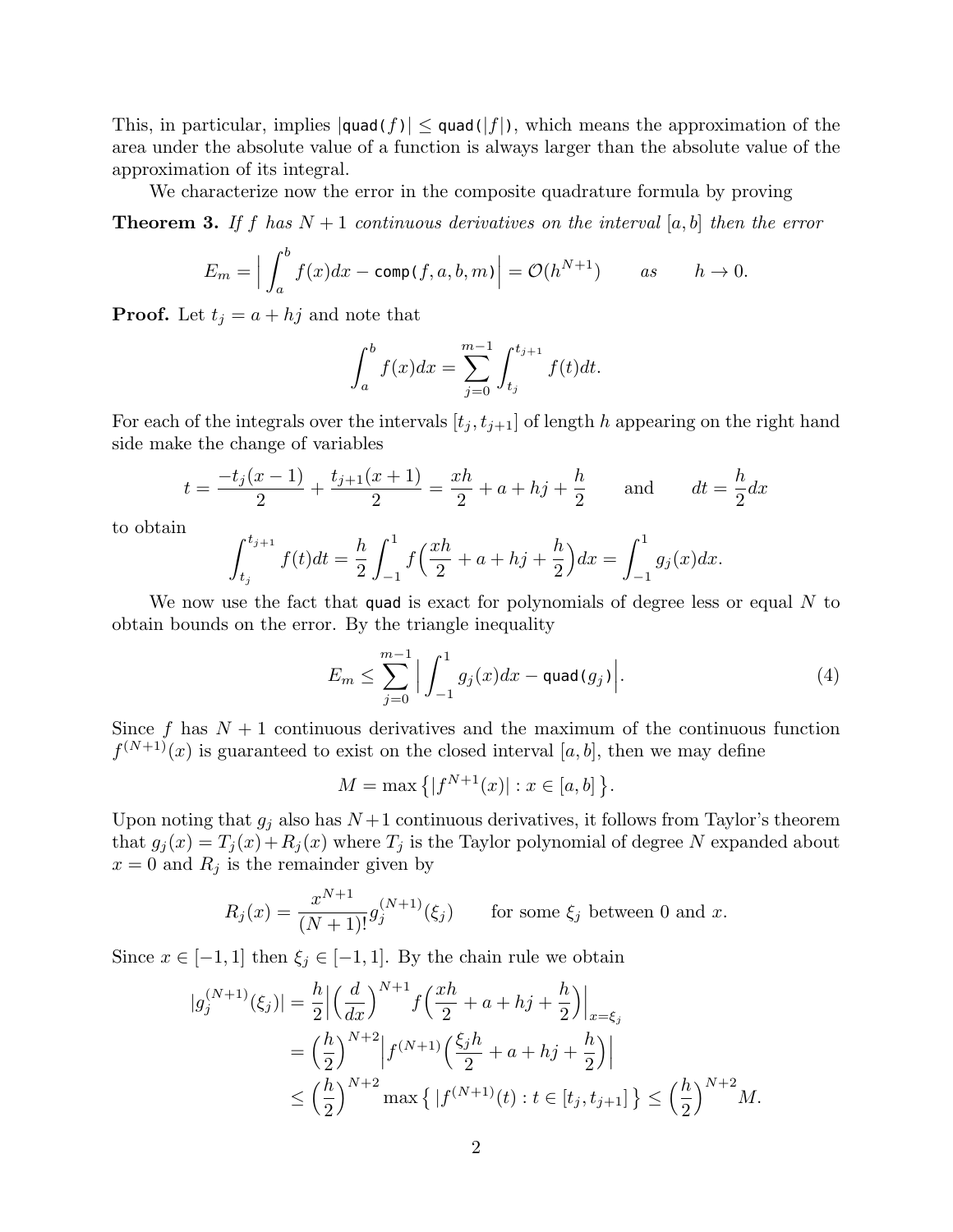This, in particular, implies  $|\text{quad}(f)| \leq \text{quad}(f)$ , which means the approximation of the area under the absolute value of a function is always larger than the absolute value of the approximation of its integral.

We characterize now the error in the composite quadrature formula by proving

**Theorem 3.** If f has  $N+1$  continuous derivatives on the interval [a, b] then the error

$$
E_m = \Big| \int_a^b f(x) dx - \operatorname{comp}(f, a, b, m) \Big| = \mathcal{O}(h^{N+1}) \qquad \text{as} \qquad h \to 0.
$$

**Proof.** Let  $t_j = a + hj$  and note that

$$
\int_{a}^{b} f(x)dx = \sum_{j=0}^{m-1} \int_{t_j}^{t_{j+1}} f(t)dt.
$$

For each of the integrals over the intervals  $[t_j, t_{j+1}]$  of length *h* appearing on the right hand side make the change of variables

$$
t = \frac{-t_j(x-1)}{2} + \frac{t_{j+1}(x+1)}{2} = \frac{xh}{2} + a + hj + \frac{h}{2}
$$
 and  $dt = \frac{h}{2}dx$ 

to obtain

$$
\int_{t_j}^{t_{j+1}} f(t)dt = \frac{h}{2} \int_{-1}^{1} f\left(\frac{xh}{2} + a + hj + \frac{h}{2}\right)dx = \int_{-1}^{1} g_j(x)dx.
$$

We now use the fact that quad is exact for polynomials of degree less or equal *N* to obtain bounds on the error. By the triangle inequality

$$
E_m \le \sum_{j=0}^{m-1} \Big| \int_{-1}^1 g_j(x) dx - \text{quad}(g_j) \Big|.
$$
 (4)

Since  $f$  has  $N+1$  continuous derivatives and the maximum of the continuous function  $f^{(N+1)}(x)$  is guaranteed to exist on the closed interval [a, b], then we may define

$$
M = \max\{|f^{N+1}(x)| : x \in [a, b]\}.
$$

Upon noting that  $g_j$  also has  $N+1$  continuous derivatives, it follows from Taylor's theorem that  $g_j(x) = T_j(x) + R_j(x)$  where  $T_j$  is the Taylor polynomial of degree N expanded about  $x = 0$  and  $R_i$  is the remainder given by

$$
R_j(x) = \frac{x^{N+1}}{(N+1)!} g_j^{(N+1)}(\xi_j)
$$
 for some  $\xi_j$  between 0 and x.

Since  $x \in [-1, 1]$  then  $\xi_j \in [-1, 1]$ . By the chain rule we obtain

$$
|g_j^{(N+1)}(\xi_j)| = \frac{h}{2} \left| \left(\frac{d}{dx}\right)^{N+1} f\left(\frac{xh}{2} + a + h j + \frac{h}{2}\right) \right|_{x = \xi_j}
$$
  
=  $\left(\frac{h}{2}\right)^{N+2} \left| f^{(N+1)}\left(\frac{\xi_j h}{2} + a + h j + \frac{h}{2}\right) \right|$   
 $\leq \left(\frac{h}{2}\right)^{N+2} \max \left\{ | f^{(N+1)}(t) : t \in [t_j, t_{j+1}] \right\} \leq \left(\frac{h}{2}\right)^{N+2} M.$